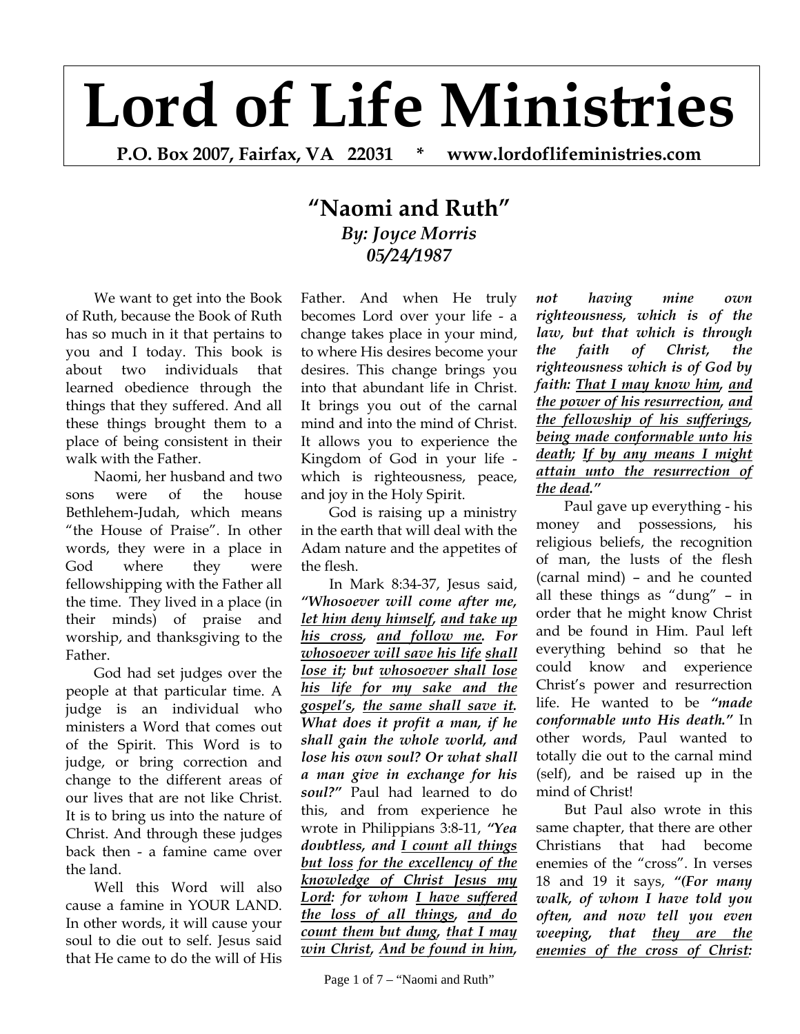## **Lord of Life Ministries**

**P.O. Box 2007, Fairfax, VA 22031 \* www.lordoflifeministries.com** 

## **"Naomi and Ruth"** *By: Joyce Morris 05/24/1987*

We want to get into the Book of Ruth, because the Book of Ruth has so much in it that pertains to you and I today. This book is about two individuals that learned obedience through the things that they suffered. And all these things brought them to a place of being consistent in their walk with the Father.

Naomi, her husband and two sons were of the house Bethlehem-Judah, which means "the House of Praise". In other words, they were in a place in God where they were fellowshipping with the Father all the time. They lived in a place (in their minds) of praise and worship, and thanksgiving to the Father.

God had set judges over the people at that particular time. A judge is an individual who ministers a Word that comes out of the Spirit. This Word is to judge, or bring correction and change to the different areas of our lives that are not like Christ. It is to bring us into the nature of Christ. And through these judges back then - a famine came over the land.

Well this Word will also cause a famine in YOUR LAND. In other words, it will cause your soul to die out to self. Jesus said that He came to do the will of His

Father. And when He truly becomes Lord over your life - a change takes place in your mind, to where His desires become your desires. This change brings you into that abundant life in Christ. It brings you out of the carnal mind and into the mind of Christ. It allows you to experience the Kingdom of God in your life which is righteousness, peace, and joy in the Holy Spirit.

God is raising up a ministry in the earth that will deal with the Adam nature and the appetites of the flesh.

In Mark 8:34-37, Jesus said, *"Whosoever will come after me, let him deny himself, and take up his cross, and follow me. For whosoever will save his life shall lose it; but whosoever shall lose his life for my sake and the gospel's, the same shall save it. What does it profit a man, if he shall gain the whole world, and lose his own soul? Or what shall a man give in exchange for his soul?"* Paul had learned to do this, and from experience he wrote in Philippians 3:8-11, *"Yea doubtless, and I count all things but loss for the excellency of the knowledge of Christ Jesus my Lord: for whom I have suffered the loss of all things, and do count them but dung, that I may win Christ, And be found in him,* 

*not having mine own righteousness, which is of the law, but that which is through the faith of Christ, the righteousness which is of God by faith: That I may know him, and the power of his resurrection, and the fellowship of his sufferings, being made conformable unto his death; If by any means I might attain unto the resurrection of the dead."*

Paul gave up everything - his money and possessions, his religious beliefs, the recognition of man, the lusts of the flesh (carnal mind) – and he counted all these things as "dung" – in order that he might know Christ and be found in Him. Paul left everything behind so that he could know and experience Christ's power and resurrection life. He wanted to be *"made conformable unto His death."* In other words, Paul wanted to totally die out to the carnal mind (self), and be raised up in the mind of Christ!

But Paul also wrote in this same chapter, that there are other Christians that had become enemies of the "cross". In verses 18 and 19 it says, *"(For many walk, of whom I have told you often, and now tell you even weeping, that they are the enemies of the cross of Christ:*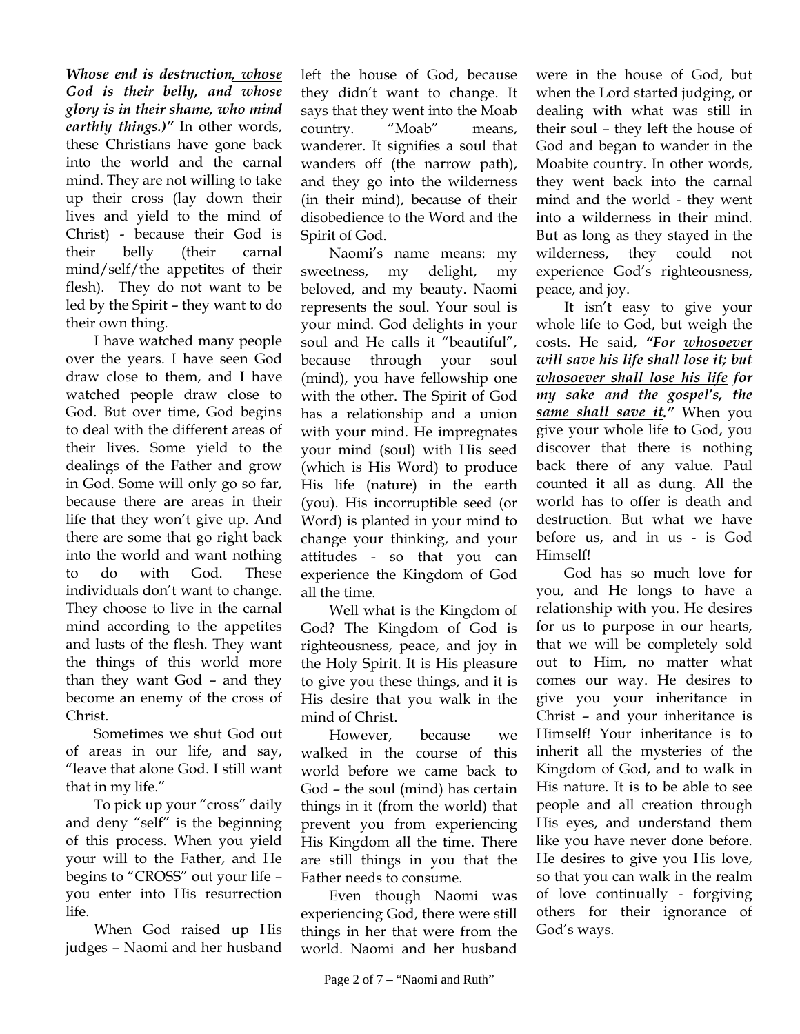*Whose end is destruction, whose God is their belly, and whose glory is in their shame, who mind earthly things.)"* In other words, these Christians have gone back into the world and the carnal mind. They are not willing to take up their cross (lay down their lives and yield to the mind of Christ) - because their God is their belly (their carnal mind/self/the appetites of their flesh). They do not want to be led by the Spirit – they want to do their own thing.

I have watched many people over the years. I have seen God draw close to them, and I have watched people draw close to God. But over time, God begins to deal with the different areas of their lives. Some yield to the dealings of the Father and grow in God. Some will only go so far, because there are areas in their life that they won't give up. And there are some that go right back into the world and want nothing to do with God. These individuals don't want to change. They choose to live in the carnal mind according to the appetites and lusts of the flesh. They want the things of this world more than they want God – and they become an enemy of the cross of Christ.

Sometimes we shut God out of areas in our life, and say, "leave that alone God. I still want that in my life."

To pick up your "cross" daily and deny "self" is the beginning of this process. When you yield your will to the Father, and He begins to "CROSS" out your life – you enter into His resurrection life.

When God raised up His judges – Naomi and her husband

left the house of God, because they didn't want to change. It says that they went into the Moab country. "Moab" means, wanderer. It signifies a soul that wanders off (the narrow path), and they go into the wilderness (in their mind), because of their disobedience to the Word and the Spirit of God.

Naomi's name means: my sweetness, my delight, my beloved, and my beauty. Naomi represents the soul. Your soul is your mind. God delights in your soul and He calls it "beautiful", because through your soul (mind), you have fellowship one with the other. The Spirit of God has a relationship and a union with your mind. He impregnates your mind (soul) with His seed (which is His Word) to produce His life (nature) in the earth (you). His incorruptible seed (or Word) is planted in your mind to change your thinking, and your attitudes - so that you can experience the Kingdom of God all the time.

Well what is the Kingdom of God? The Kingdom of God is righteousness, peace, and joy in the Holy Spirit. It is His pleasure to give you these things, and it is His desire that you walk in the mind of Christ.

However, because we walked in the course of this world before we came back to God – the soul (mind) has certain things in it (from the world) that prevent you from experiencing His Kingdom all the time. There are still things in you that the Father needs to consume.

Even though Naomi was experiencing God, there were still things in her that were from the world. Naomi and her husband

were in the house of God, but when the Lord started judging, or dealing with what was still in their soul – they left the house of God and began to wander in the Moabite country. In other words, they went back into the carnal mind and the world - they went into a wilderness in their mind. But as long as they stayed in the wilderness, they could not experience God's righteousness, peace, and joy.

It isn't easy to give your whole life to God, but weigh the costs. He said, *"For whosoever will save his life shall lose it; but whosoever shall lose his life for my sake and the gospel's, the same shall save it."* When you give your whole life to God, you discover that there is nothing back there of any value. Paul counted it all as dung. All the world has to offer is death and destruction. But what we have before us, and in us - is God Himself!

God has so much love for you, and He longs to have a relationship with you. He desires for us to purpose in our hearts, that we will be completely sold out to Him, no matter what comes our way. He desires to give you your inheritance in Christ – and your inheritance is Himself! Your inheritance is to inherit all the mysteries of the Kingdom of God, and to walk in His nature. It is to be able to see people and all creation through His eyes, and understand them like you have never done before. He desires to give you His love, so that you can walk in the realm of love continually - forgiving others for their ignorance of God's ways.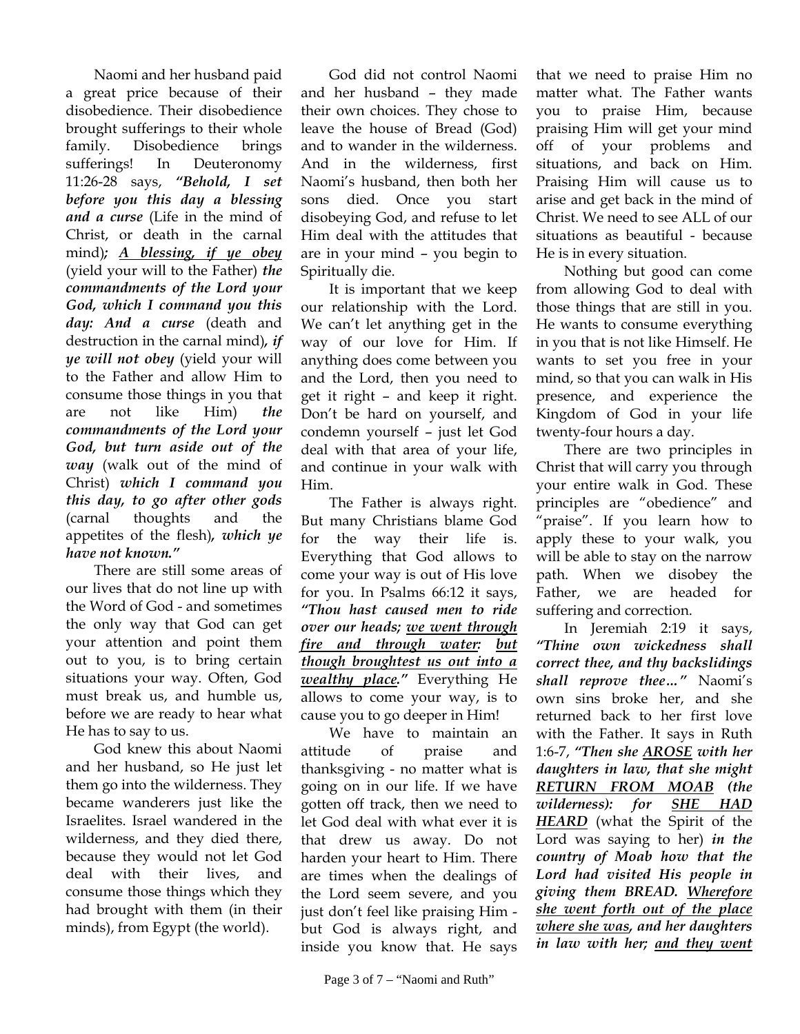Naomi and her husband paid a great price because of their disobedience. Their disobedience brought sufferings to their whole family. Disobedience brings sufferings! In Deuteronomy 11:26-28 says, *"Behold, I set before you this day a blessing and a curse* (Life in the mind of Christ, or death in the carnal mind)*; A blessing, if ye obey* (yield your will to the Father) *the commandments of the Lord your God, which I command you this day: And a curse* (death and destruction in the carnal mind)*, if ye will not obey* (yield your will to the Father and allow Him to consume those things in you that are not like Him) *the commandments of the Lord your God, but turn aside out of the way* (walk out of the mind of Christ) *which I command you this day, to go after other gods* (carnal thoughts and the appetites of the flesh)*, which ye have not known."* 

There are still some areas of our lives that do not line up with the Word of God - and sometimes the only way that God can get your attention and point them out to you, is to bring certain situations your way. Often, God must break us, and humble us, before we are ready to hear what He has to say to us.

God knew this about Naomi and her husband, so He just let them go into the wilderness. They became wanderers just like the Israelites. Israel wandered in the wilderness, and they died there, because they would not let God deal with their lives, and consume those things which they had brought with them (in their minds), from Egypt (the world).

God did not control Naomi and her husband – they made their own choices. They chose to leave the house of Bread (God) and to wander in the wilderness. And in the wilderness, first Naomi's husband, then both her sons died. Once you start disobeying God, and refuse to let Him deal with the attitudes that are in your mind – you begin to Spiritually die.

It is important that we keep our relationship with the Lord. We can't let anything get in the way of our love for Him. If anything does come between you and the Lord, then you need to get it right – and keep it right. Don't be hard on yourself, and condemn yourself – just let God deal with that area of your life, and continue in your walk with Him.

The Father is always right. But many Christians blame God for the way their life is. Everything that God allows to come your way is out of His love for you. In Psalms 66:12 it says, *"Thou hast caused men to ride over our heads; we went through fire and through water: but though broughtest us out into a wealthy place."* Everything He allows to come your way, is to cause you to go deeper in Him!

We have to maintain an attitude of praise and thanksgiving - no matter what is going on in our life. If we have gotten off track, then we need to let God deal with what ever it is that drew us away. Do not harden your heart to Him. There are times when the dealings of the Lord seem severe, and you just don't feel like praising Him but God is always right, and inside you know that. He says

that we need to praise Him no matter what. The Father wants you to praise Him, because praising Him will get your mind off of your problems and situations, and back on Him. Praising Him will cause us to arise and get back in the mind of Christ. We need to see ALL of our situations as beautiful - because He is in every situation.

Nothing but good can come from allowing God to deal with those things that are still in you. He wants to consume everything in you that is not like Himself. He wants to set you free in your mind, so that you can walk in His presence, and experience the Kingdom of God in your life twenty-four hours a day.

There are two principles in Christ that will carry you through your entire walk in God. These principles are "obedience" and "praise". If you learn how to apply these to your walk, you will be able to stay on the narrow path. When we disobey the Father, we are headed for suffering and correction.

In Jeremiah 2:19 it says, *"Thine own wickedness shall correct thee, and thy backslidings shall reprove thee…"* Naomi's own sins broke her, and she returned back to her first love with the Father. It says in Ruth 1:6-7, *"Then she AROSE with her daughters in law, that she might RETURN FROM MOAB (the wilderness): for SHE HAD HEARD* (what the Spirit of the Lord was saying to her) *in the country of Moab how that the Lord had visited His people in giving them BREAD. Wherefore she went forth out of the place where she was, and her daughters in law with her; and they went*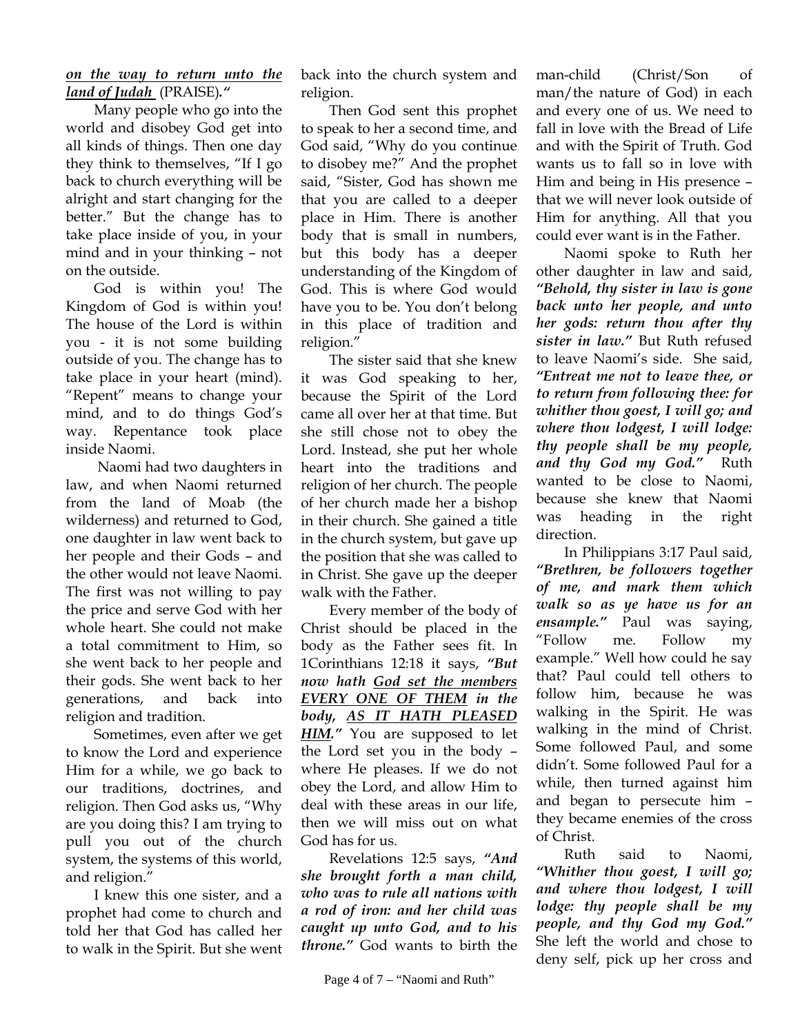## *on the way to return unto the land of Judah* (PRAISE)*."*

Many people who go into the world and disobey God get into all kinds of things. Then one day they think to themselves, "If I go back to church everything will be alright and start changing for the better." But the change has to take place inside of you, in your mind and in your thinking – not on the outside.

God is within you! The Kingdom of God is within you! The house of the Lord is within you - it is not some building outside of you. The change has to take place in your heart (mind). "Repent" means to change your mind, and to do things God's way. Repentance took place inside Naomi.

 Naomi had two daughters in law, and when Naomi returned from the land of Moab (the wilderness) and returned to God, one daughter in law went back to her people and their Gods – and the other would not leave Naomi. The first was not willing to pay the price and serve God with her whole heart. She could not make a total commitment to Him, so she went back to her people and their gods. She went back to her generations, and back into religion and tradition.

Sometimes, even after we get to know the Lord and experience Him for a while, we go back to our traditions, doctrines, and religion. Then God asks us, "Why are you doing this? I am trying to pull you out of the church system, the systems of this world, and religion."

I knew this one sister, and a prophet had come to church and told her that God has called her to walk in the Spirit. But she went back into the church system and religion.

Then God sent this prophet to speak to her a second time, and God said, "Why do you continue to disobey me?" And the prophet said, "Sister, God has shown me that you are called to a deeper place in Him. There is another body that is small in numbers, but this body has a deeper understanding of the Kingdom of God. This is where God would have you to be. You don't belong in this place of tradition and religion."

The sister said that she knew it was God speaking to her, because the Spirit of the Lord came all over her at that time. But she still chose not to obey the Lord. Instead, she put her whole heart into the traditions and religion of her church. The people of her church made her a bishop in their church. She gained a title in the church system, but gave up the position that she was called to in Christ. She gave up the deeper walk with the Father.

Every member of the body of Christ should be placed in the body as the Father sees fit. In 1Corinthians 12:18 it says, *"But now hath God set the members EVERY ONE OF THEM in the body, AS IT HATH PLEASED HIM."* You are supposed to let the Lord set you in the body – where He pleases. If we do not obey the Lord, and allow Him to deal with these areas in our life, then we will miss out on what God has for us.

Revelations 12:5 says, *"And she brought forth a man child, who was to rule all nations with a rod of iron: and her child was caught up unto God, and to his throne."* God wants to birth the

man-child (Christ/Son of man/the nature of God) in each and every one of us. We need to fall in love with the Bread of Life and with the Spirit of Truth. God wants us to fall so in love with Him and being in His presence – that we will never look outside of Him for anything. All that you could ever want is in the Father.

Naomi spoke to Ruth her other daughter in law and said, *"Behold, thy sister in law is gone back unto her people, and unto her gods: return thou after thy sister in law."* But Ruth refused to leave Naomi's side. She said, *"Entreat me not to leave thee, or to return from following thee: for whither thou goest, I will go; and where thou lodgest, I will lodge: thy people shall be my people, and thy God my God."* Ruth wanted to be close to Naomi, because she knew that Naomi was heading in the right direction.

In Philippians 3:17 Paul said, *"Brethren, be followers together of me, and mark them which walk so as ye have us for an ensample."* Paul was saying, "Follow me. Follow my example." Well how could he say that? Paul could tell others to follow him, because he was walking in the Spirit. He was walking in the mind of Christ. Some followed Paul, and some didn't. Some followed Paul for a while, then turned against him and began to persecute him – they became enemies of the cross of Christ.

Ruth said to Naomi, *"Whither thou goest, I will go; and where thou lodgest, I will lodge: thy people shall be my people, and thy God my God."* She left the world and chose to deny self, pick up her cross and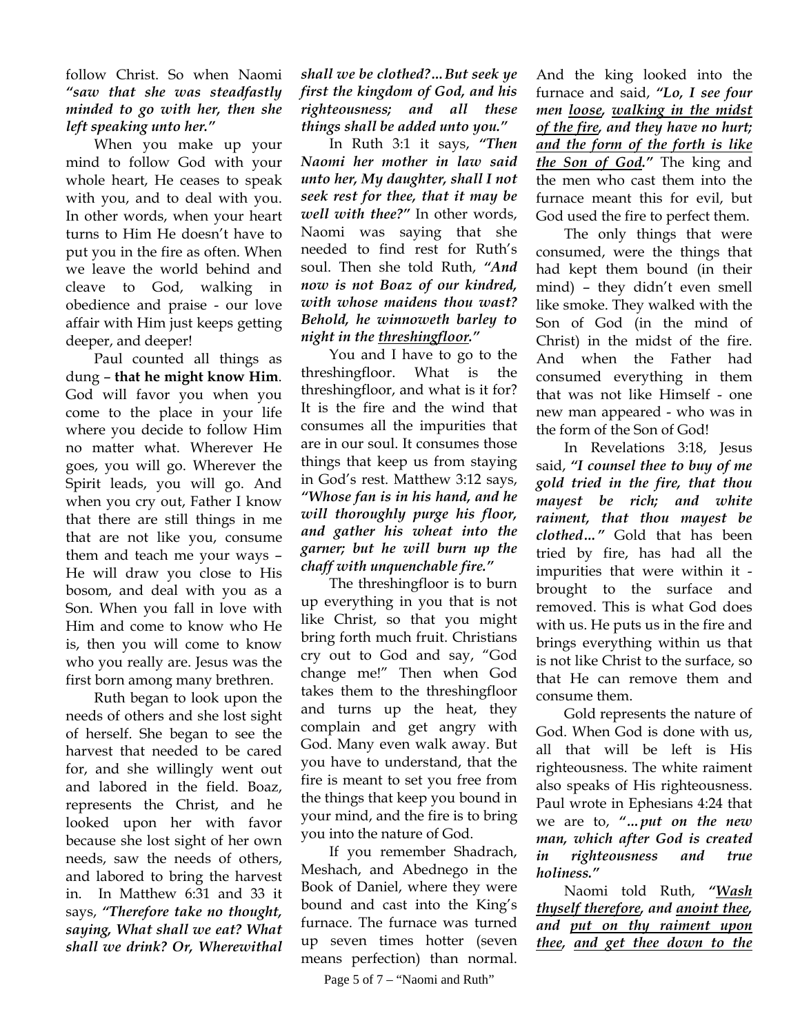follow Christ. So when Naomi *"saw that she was steadfastly minded to go with her, then she left speaking unto her."* 

When you make up your mind to follow God with your whole heart, He ceases to speak with you, and to deal with you. In other words, when your heart turns to Him He doesn't have to put you in the fire as often. When we leave the world behind and cleave to God, walking in obedience and praise - our love affair with Him just keeps getting deeper, and deeper!

Paul counted all things as dung – **that he might know Him**. God will favor you when you come to the place in your life where you decide to follow Him no matter what. Wherever He goes, you will go. Wherever the Spirit leads, you will go. And when you cry out, Father I know that there are still things in me that are not like you, consume them and teach me your ways – He will draw you close to His bosom, and deal with you as a Son. When you fall in love with Him and come to know who He is, then you will come to know who you really are. Jesus was the first born among many brethren.

Ruth began to look upon the needs of others and she lost sight of herself. She began to see the harvest that needed to be cared for, and she willingly went out and labored in the field. Boaz, represents the Christ, and he looked upon her with favor because she lost sight of her own needs, saw the needs of others, and labored to bring the harvest in. In Matthew 6:31 and 33 it says, *"Therefore take no thought, saying, What shall we eat? What shall we drink? Or, Wherewithal* 

*shall we be clothed?…But seek ye first the kingdom of God, and his righteousness; and all these things shall be added unto you."*

In Ruth 3:1 it says, *"Then Naomi her mother in law said unto her, My daughter, shall I not seek rest for thee, that it may be well with thee?"* In other words, Naomi was saying that she needed to find rest for Ruth's soul. Then she told Ruth, *"And now is not Boaz of our kindred, with whose maidens thou wast? Behold, he winnoweth barley to night in the threshingfloor."* 

You and I have to go to the threshingfloor. What is the threshingfloor, and what is it for? It is the fire and the wind that consumes all the impurities that are in our soul. It consumes those things that keep us from staying in God's rest. Matthew 3:12 says, *"Whose fan is in his hand, and he will thoroughly purge his floor, and gather his wheat into the garner; but he will burn up the chaff with unquenchable fire."*

The threshingfloor is to burn up everything in you that is not like Christ, so that you might bring forth much fruit. Christians cry out to God and say, "God change me!" Then when God takes them to the threshingfloor and turns up the heat, they complain and get angry with God. Many even walk away. But you have to understand, that the fire is meant to set you free from the things that keep you bound in your mind, and the fire is to bring you into the nature of God.

If you remember Shadrach, Meshach, and Abednego in the Book of Daniel, where they were bound and cast into the King's furnace. The furnace was turned up seven times hotter (seven means perfection) than normal.

And the king looked into the furnace and said, *"Lo, I see four men loose, walking in the midst of the fire, and they have no hurt; and the form of the forth is like the Son of God."* The king and the men who cast them into the furnace meant this for evil, but God used the fire to perfect them.

The only things that were consumed, were the things that had kept them bound (in their mind) – they didn't even smell like smoke. They walked with the Son of God (in the mind of Christ) in the midst of the fire. And when the Father had consumed everything in them that was not like Himself - one new man appeared - who was in the form of the Son of God!

In Revelations 3:18, Jesus said, *"I counsel thee to buy of me gold tried in the fire, that thou mayest be rich; and white raiment, that thou mayest be clothed…"* Gold that has been tried by fire, has had all the impurities that were within it brought to the surface and removed. This is what God does with us. He puts us in the fire and brings everything within us that is not like Christ to the surface, so that He can remove them and consume them.

Gold represents the nature of God. When God is done with us, all that will be left is His righteousness. The white raiment also speaks of His righteousness. Paul wrote in Ephesians 4:24 that we are to, *"…put on the new man, which after God is created in righteousness and true holiness."*

Naomi told Ruth, *"Wash thyself therefore, and anoint thee, and put on thy raiment upon thee, and get thee down to the* 

Page 5 of 7 – "Naomi and Ruth"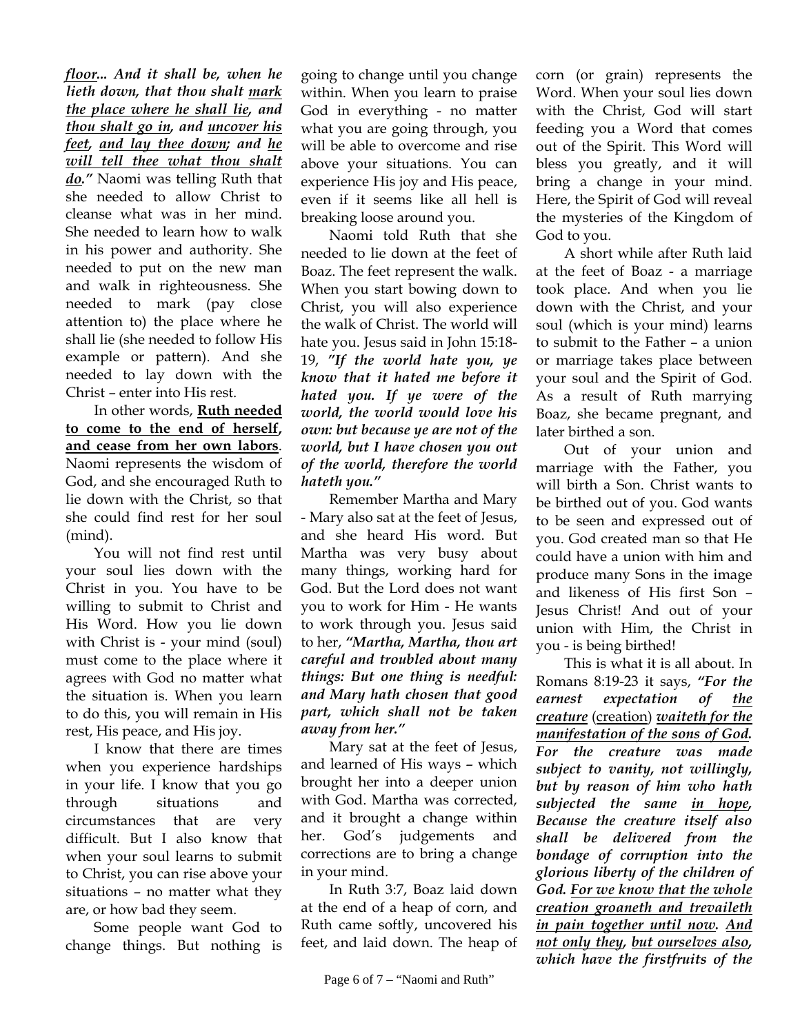*floor... And it shall be, when he lieth down, that thou shalt mark the place where he shall lie, and thou shalt go in, and uncover his feet, and lay thee down; and he will tell thee what thou shalt do."* Naomi was telling Ruth that she needed to allow Christ to cleanse what was in her mind. She needed to learn how to walk in his power and authority. She needed to put on the new man and walk in righteousness. She needed to mark (pay close attention to) the place where he shall lie (she needed to follow His example or pattern). And she needed to lay down with the Christ – enter into His rest.

In other words, **Ruth needed to come to the end of herself, and cease from her own labors**. Naomi represents the wisdom of God, and she encouraged Ruth to lie down with the Christ, so that she could find rest for her soul (mind).

You will not find rest until your soul lies down with the Christ in you. You have to be willing to submit to Christ and His Word. How you lie down with Christ is - your mind (soul) must come to the place where it agrees with God no matter what the situation is. When you learn to do this, you will remain in His rest, His peace, and His joy.

I know that there are times when you experience hardships in your life. I know that you go through situations and circumstances that are very difficult. But I also know that when your soul learns to submit to Christ, you can rise above your situations – no matter what they are, or how bad they seem.

Some people want God to change things. But nothing is going to change until you change within. When you learn to praise God in everything - no matter what you are going through, you will be able to overcome and rise above your situations. You can experience His joy and His peace, even if it seems like all hell is breaking loose around you.

Naomi told Ruth that she needed to lie down at the feet of Boaz. The feet represent the walk. When you start bowing down to Christ, you will also experience the walk of Christ. The world will hate you. Jesus said in John 15:18- 19, *"If the world hate you, ye know that it hated me before it hated you. If ye were of the world, the world would love his own: but because ye are not of the world, but I have chosen you out of the world, therefore the world hateth you."*

Remember Martha and Mary - Mary also sat at the feet of Jesus, and she heard His word. But Martha was very busy about many things, working hard for God. But the Lord does not want you to work for Him - He wants to work through you. Jesus said to her, *"Martha, Martha, thou art careful and troubled about many things: But one thing is needful: and Mary hath chosen that good part, which shall not be taken away from her."* 

Mary sat at the feet of Jesus, and learned of His ways – which brought her into a deeper union with God. Martha was corrected, and it brought a change within her. God's judgements and corrections are to bring a change in your mind.

In Ruth 3:7, Boaz laid down at the end of a heap of corn, and Ruth came softly, uncovered his feet, and laid down. The heap of

corn (or grain) represents the Word. When your soul lies down with the Christ, God will start feeding you a Word that comes out of the Spirit. This Word will bless you greatly, and it will bring a change in your mind. Here, the Spirit of God will reveal the mysteries of the Kingdom of God to you.

A short while after Ruth laid at the feet of Boaz - a marriage took place. And when you lie down with the Christ, and your soul (which is your mind) learns to submit to the Father – a union or marriage takes place between your soul and the Spirit of God. As a result of Ruth marrying Boaz, she became pregnant, and later birthed a son.

Out of your union and marriage with the Father, you will birth a Son. Christ wants to be birthed out of you. God wants to be seen and expressed out of you. God created man so that He could have a union with him and produce many Sons in the image and likeness of His first Son – Jesus Christ! And out of your union with Him, the Christ in you - is being birthed!

This is what it is all about. In Romans 8:19-23 it says, *"For the earnest expectation of the creature* (creation) *waiteth for the manifestation of the sons of God. For the creature was made subject to vanity, not willingly, but by reason of him who hath subjected the same in hope, Because the creature itself also shall be delivered from the bondage of corruption into the glorious liberty of the children of God. For we know that the whole creation groaneth and trevaileth in pain together until now. And not only they, but ourselves also, which have the firstfruits of the*